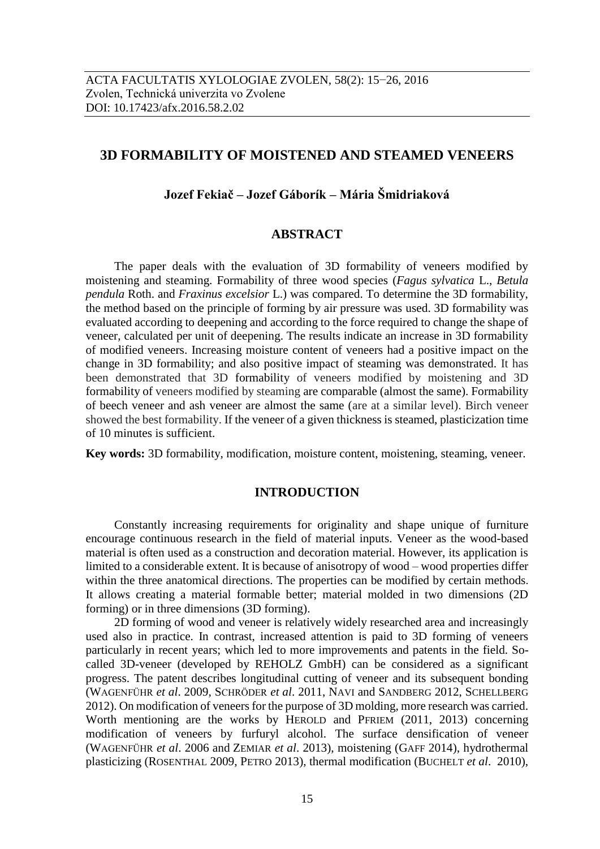# **3D FORMABILITY OF MOISTENED AND STEAMED VENEERS**

# **Jozef Fekiač – Jozef Gáborík – Mária Šmidriaková**

### **ABSTRACT**

The paper deals with the evaluation of 3D formability of veneers modified by moistening and steaming. Formability of three wood species (*Fagus sylvatica* L., *Betula pendula* Roth. and *Fraxinus excelsior* L.) was compared. To determine the 3D formability, the method based on the principle of forming by air pressure was used. 3D formability was evaluated according to deepening and according to the force required to change the shape of veneer, calculated per unit of deepening. The results indicate an increase in 3D formability of modified veneers. Increasing moisture content of veneers had a positive impact on the change in 3D formability; and also positive impact of steaming was demonstrated. It has been demonstrated that 3D formability of veneers modified by moistening and 3D formability of veneers modified by steaming are comparable (almost the same). Formability of beech veneer and ash veneer are almost the same (are at a similar level). Birch veneer showed the best formability. If the veneer of a given thickness is steamed, plasticization time of 10 minutes is sufficient.

**Key words:** 3D formability, modification, moisture content, moistening, steaming, veneer.

# **INTRODUCTION**

Constantly increasing requirements for originality and shape unique of furniture encourage continuous research in the field of material inputs. Veneer as the wood-based material is often used as a construction and decoration material. However, its application is limited to a considerable extent. It is because of anisotropy of wood – wood properties differ within the three anatomical directions. The properties can be modified by certain methods. It allows creating a material formable better; material molded in two dimensions (2D forming) or in three dimensions (3D forming).

2D forming of wood and veneer is relatively widely researched area and increasingly used also in practice. In contrast, increased attention is paid to 3D forming of veneers particularly in recent years; which led to more improvements and patents in the field. Socalled 3D-veneer (developed by REHOLZ GmbH) can be considered as a significant progress. The patent describes longitudinal cutting of veneer and its subsequent bonding (WAGENFÜHR *et al*. 2009, SCHRÖDER *et al*. 2011, NAVI and SANDBERG 2012, SCHELLBERG 2012). On modification of veneers for the purpose of 3D molding, more research was carried. Worth mentioning are the works by HEROLD and PFRIEM (2011, 2013) concerning modification of veneers by furfuryl alcohol. The surface densification of veneer (WAGENFÜHR *et al*. 2006 and ZEMIAR *et al*. 2013), moistening (GAFF 2014), hydrothermal plasticizing (ROSENTHAL 2009, PETRO 2013), thermal modification (BUCHELT *et al*. 2010),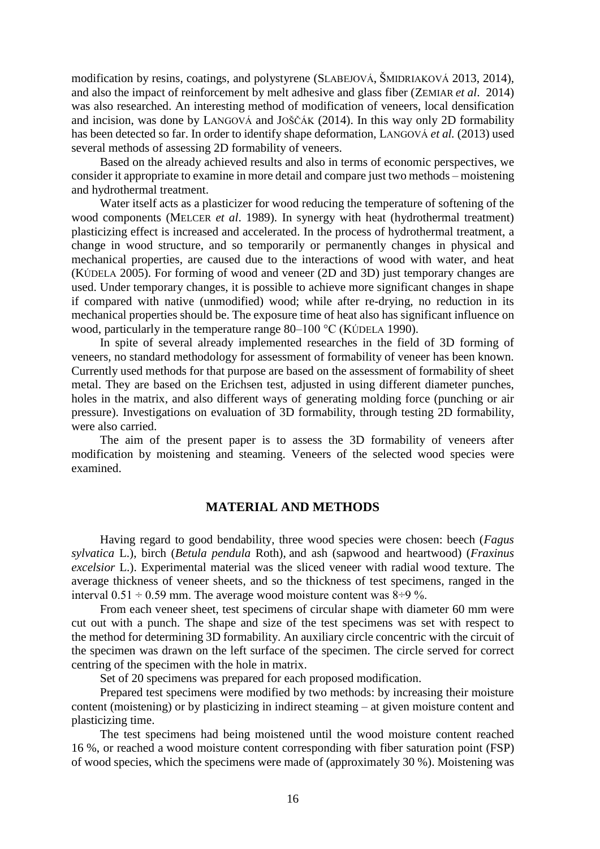modification by resins, coatings, and polystyrene (SLABEJOVÁ, ŠMIDRIAKOVÁ 2013, 2014), and also the impact of reinforcement by melt adhesive and glass fiber (ZEMIAR *et al*. 2014) was also researched. An interesting method of modification of veneers, local densification and incision, was done by LANGOVÁ and JOŠČÁK (2014). In this way only 2D formability has been detected so far. In order to identify shape deformation, LANGOVÁ *et al.* (2013) used several methods of assessing 2D formability of veneers.

Based on the already achieved results and also in terms of economic perspectives, we consider it appropriate to examine in more detail and compare just two methods – moistening and hydrothermal treatment.

Water itself acts as a plasticizer for wood reducing the temperature of softening of the wood components (MELCER *et al*. 1989). In synergy with heat (hydrothermal treatment) plasticizing effect is increased and accelerated. In the process of hydrothermal treatment, a change in wood structure, and so temporarily or permanently changes in physical and mechanical properties, are caused due to the interactions of wood with water, and heat (KÚDELA 2005). For forming of wood and veneer (2D and 3D) just temporary changes are used. Under temporary changes, it is possible to achieve more significant changes in shape if compared with native (unmodified) wood; while after re-drying, no reduction in its mechanical properties should be. The exposure time of heat also has significant influence on wood, particularly in the temperature range 80–100 °C (KÚDELA 1990).

In spite of several already implemented researches in the field of 3D forming of veneers, no standard methodology for assessment of formability of veneer has been known. Currently used methods for that purpose are based on the assessment of formability of sheet metal. They are based on the Erichsen test, adjusted in using different diameter punches, holes in the matrix, and also different ways of generating molding force (punching or air pressure). Investigations on evaluation of 3D formability, through testing 2D formability, were also carried.

The aim of the present paper is to assess the 3D formability of veneers after modification by moistening and steaming. Veneers of the selected wood species were examined.

#### **MATERIAL AND METHODS**

Having regard to good bendability, three wood species were chosen: beech (*Fagus sylvatica* L.), birch (*Betula pendula* Roth), and ash (sapwood and heartwood) (*Fraxinus excelsior* L.). Experimental material was the sliced veneer with radial wood texture. The average thickness of veneer sheets, and so the thickness of test specimens, ranged in the interval  $0.51 \div 0.59$  mm. The average wood moisture content was  $8 \div 9$  %.

From each veneer sheet, test specimens of circular shape with diameter 60 mm were cut out with a punch. The shape and size of the test specimens was set with respect to the method for determining 3D formability. An auxiliary circle concentric with the circuit of the specimen was drawn on the left surface of the specimen. The circle served for correct centring of the specimen with the hole in matrix.

Set of 20 specimens was prepared for each proposed modification.

Prepared test specimens were modified by two methods: by increasing their moisture content (moistening) or by plasticizing in indirect steaming – at given moisture content and plasticizing time.

The test specimens had being moistened until the wood moisture content reached 16 %, or reached a wood moisture content corresponding with fiber saturation point (FSP) of wood species, which the specimens were made of (approximately 30 %). Moistening was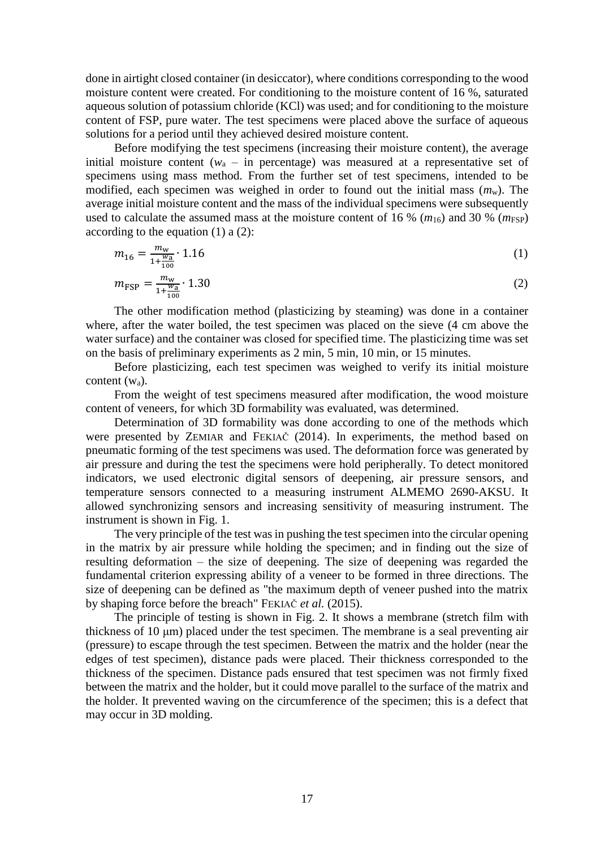done in airtight closed container (in desiccator), where conditions corresponding to the wood moisture content were created. For conditioning to the moisture content of 16 %, saturated aqueous solution of potassium chloride (KCl) was used; and for conditioning to the moisture content of FSP, pure water. The test specimens were placed above the surface of aqueous solutions for a period until they achieved desired moisture content.

Before modifying the test specimens (increasing their moisture content), the average initial moisture content  $(w_a - in$  percentage) was measured at a representative set of specimens using mass method. From the further set of test specimens, intended to be modified, each specimen was weighed in order to found out the initial mass (*m*w). The average initial moisture content and the mass of the individual specimens were subsequently used to calculate the assumed mass at the moisture content of 16 %  $(m_{16})$  and 30 %  $(m_{\text{FSP}})$ according to the equation (1) a (2):

$$
m_{16} = \frac{m_{\rm w}}{1 + \frac{w_{\rm a}}{100}} \cdot 1.16\tag{1}
$$

$$
m_{\rm FSP} = \frac{m_{\rm w}}{1 + \frac{w_{\rm a}}{100}} \cdot 1.30\tag{2}
$$

The other modification method (plasticizing by steaming) was done in a container where, after the water boiled, the test specimen was placed on the sieve (4 cm above the water surface) and the container was closed for specified time. The plasticizing time was set on the basis of preliminary experiments as 2 min, 5 min, 10 min, or 15 minutes.

Before plasticizing, each test specimen was weighed to verify its initial moisture content (wa).

From the weight of test specimens measured after modification, the wood moisture content of veneers, for which 3D formability was evaluated, was determined.

Determination of 3D formability was done according to one of the methods which were presented by ZEMIAR and FEKIAČ (2014). In experiments, the method based on pneumatic forming of the test specimens was used. The deformation force was generated by air pressure and during the test the specimens were hold peripherally. To detect monitored indicators, we used electronic digital sensors of deepening, air pressure sensors, and temperature sensors connected to a measuring instrument ALMEMO 2690-AKSU. It allowed synchronizing sensors and increasing sensitivity of measuring instrument. The instrument is shown in Fig. 1.

The very principle of the test was in pushing the test specimen into the circular opening in the matrix by air pressure while holding the specimen; and in finding out the size of resulting deformation – the size of deepening. The size of deepening was regarded the fundamental criterion expressing ability of a veneer to be formed in three directions. The size of deepening can be defined as "the maximum depth of veneer pushed into the matrix by shaping force before the breach" FEKIAČ *et al.* (2015).

The principle of testing is shown in Fig. 2. It shows a membrane (stretch film with thickness of 10 μm) placed under the test specimen. The membrane is a seal preventing air (pressure) to escape through the test specimen. Between the matrix and the holder (near the edges of test specimen), distance pads were placed. Their thickness corresponded to the thickness of the specimen. Distance pads ensured that test specimen was not firmly fixed between the matrix and the holder, but it could move parallel to the surface of the matrix and the holder. It prevented waving on the circumference of the specimen; this is a defect that may occur in 3D molding.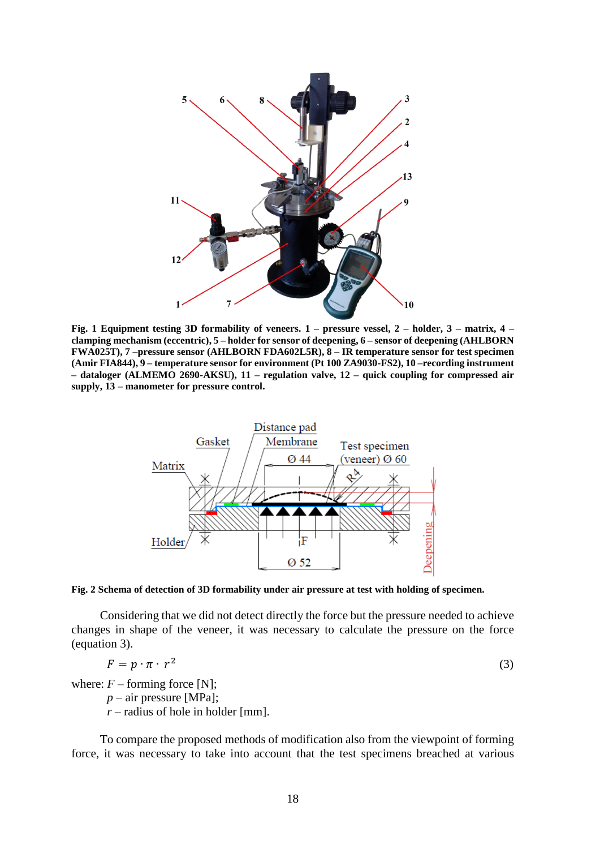

**Fig. 1 Equipment testing 3D formability of veneers. 1 – pressure vessel, 2 – holder, 3 – matrix, 4 – clamping mechanism (eccentric), 5 – holder for sensor of deepening, 6 – sensor of deepening (AHLBORN FWA025T), 7 –pressure sensor (AHLBORN FDA602L5R), 8 – IR temperature sensor for test specimen (Amir FIA844), 9 – temperature sensor for environment (Pt 100 ZA9030-FS2), 10 –recording instrument – dataloger (ALMEMO 2690-AKSU), 11 – regulation valve, 12 – quick coupling for compressed air supply, 13 – manometer for pressure control.**



**Fig. 2 Schema of detection of 3D formability under air pressure at test with holding of specimen.**

Considering that we did not detect directly the force but the pressure needed to achieve changes in shape of the veneer, it was necessary to calculate the pressure on the force (equation 3).

$$
F = p \cdot \pi \cdot r^2 \tag{3}
$$

where:  $F$  – forming force [N];

*p* – air pressure [MPa];

 $r$  – radius of hole in holder [mm].

To compare the proposed methods of modification also from the viewpoint of forming force, it was necessary to take into account that the test specimens breached at various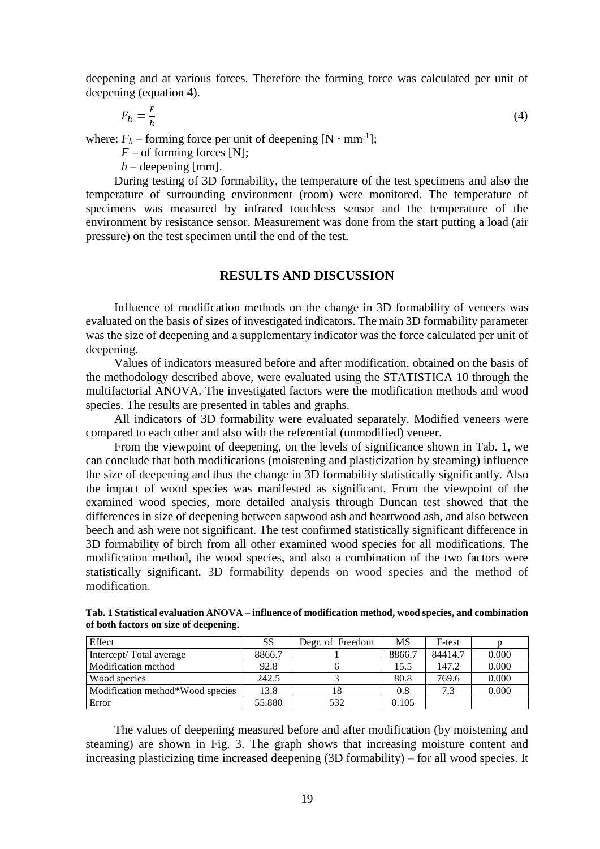deepening and at various forces. Therefore the forming force was calculated per unit of deepening (equation 4).

$$
F_h = \frac{F}{h} \tag{4}
$$

where:  $F_h$  – forming force per unit of deepening  $[N \cdot mm^{-1}]$ ;

 $F$  – of forming forces [N];

 $h$  – deepening [mm].

During testing of 3D formability, the temperature of the test specimens and also the temperature of surrounding environment (room) were monitored. The temperature of specimens was measured by infrared touchless sensor and the temperature of the environment by resistance sensor. Measurement was done from the start putting a load (air pressure) on the test specimen until the end of the test.

#### **RESULTS AND DISCUSSION**

Influence of modification methods on the change in 3D formability of veneers was evaluated on the basis of sizes of investigated indicators. The main 3D formability parameter was the size of deepening and a supplementary indicator was the force calculated per unit of deepening.

Values of indicators measured before and after modification, obtained on the basis of the methodology described above, were evaluated using the STATISTICA 10 through the multifactorial ANOVA. The investigated factors were the modification methods and wood species. The results are presented in tables and graphs.

All indicators of 3D formability were evaluated separately. Modified veneers were compared to each other and also with the referential (unmodified) veneer.

From the viewpoint of deepening, on the levels of significance shown in Tab. 1, we can conclude that both modifications (moistening and plasticization by steaming) influence the size of deepening and thus the change in 3D formability statistically significantly. Also the impact of wood species was manifested as significant. From the viewpoint of the examined wood species, more detailed analysis through Duncan test showed that the differences in size of deepening between sapwood ash and heartwood ash, and also between beech and ash were not significant. The test confirmed statistically significant difference in 3D formability of birch from all other examined wood species for all modifications. The modification method, the wood species, and also a combination of the two factors were statistically significant. 3D formability depends on wood species and the method of modification.

**Tab. 1 Statistical evaluation ANOVA – influence of modification method, wood species, and combination of both factors on size of deepening.**

| Effect                           | SS     | Degr. of Freedom | MS     | F-test  |       |
|----------------------------------|--------|------------------|--------|---------|-------|
| Intercept/Total average          | 8866.7 |                  | 8866.7 | 84414.7 | 0.000 |
| Modification method              | 92.8   |                  | 15.5   | 147.2   | 0.000 |
| Wood species                     | 242.5  |                  | 80.8   | 769.6   | 0.000 |
| Modification method*Wood species | 13.8   | 18               | 0.8    | 7.3     | 0.000 |
| Error                            | 55.880 | 532              | 0.105  |         |       |

The values of deepening measured before and after modification (by moistening and steaming) are shown in Fig. 3. The graph shows that increasing moisture content and increasing plasticizing time increased deepening (3D formability) – for all wood species. It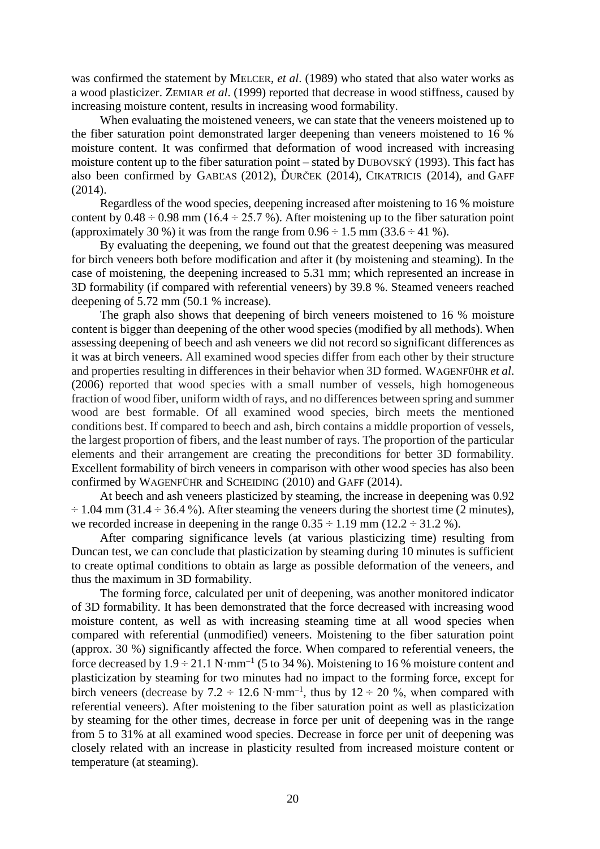was confirmed the statement by MELCER, *et al*. (1989) who stated that also water works as a wood plasticizer. ZEMIAR *et al*. (1999) reported that decrease in wood stiffness, caused by increasing moisture content, results in increasing wood formability.

When evaluating the moistened veneers, we can state that the veneers moistened up to the fiber saturation point demonstrated larger deepening than veneers moistened to 16 % moisture content. It was confirmed that deformation of wood increased with increasing moisture content up to the fiber saturation point – stated by DUBOVSKÝ (1993). This fact has also been confirmed by GABĽAS (2012), ĎURČEK (2014), CIKATRICIS (2014), and GAFF  $(2014)$ .

Regardless of the wood species, deepening increased after moistening to 16 % moisture content by  $0.48 \div 0.98$  mm (16.4  $\div 25.7$  %). After moistening up to the fiber saturation point (approximately 30 %) it was from the range from  $0.96 \div 1.5$  mm  $(33.6 \div 41$  %).

By evaluating the deepening, we found out that the greatest deepening was measured for birch veneers both before modification and after it (by moistening and steaming). In the case of moistening, the deepening increased to 5.31 mm; which represented an increase in 3D formability (if compared with referential veneers) by 39.8 %. Steamed veneers reached deepening of 5.72 mm (50.1 % increase).

The graph also shows that deepening of birch veneers moistened to 16 % moisture content is bigger than deepening of the other wood species (modified by all methods). When assessing deepening of beech and ash veneers we did not record so significant differences as it was at birch veneers. All examined wood species differ from each other by their structure and properties resulting in differences in their behavior when 3D formed. WAGENFÜHR *et al*. (2006) reported that wood species with a small number of vessels, high homogeneous fraction of wood fiber, uniform width of rays, and no differences between spring and summer wood are best formable. Of all examined wood species, birch meets the mentioned conditions best. If compared to beech and ash, birch contains a middle proportion of vessels, the largest proportion of fibers, and the least number of rays. The proportion of the particular elements and their arrangement are creating the preconditions for better 3D formability. Excellent formability of birch veneers in comparison with other wood species has also been confirmed by WAGENFÜHR and SCHEIDING (2010) and GAFF (2014).

At beech and ash veneers plasticized by steaming, the increase in deepening was 0.92  $\div$  1.04 mm (31.4  $\div$  36.4 %). After steaming the veneers during the shortest time (2 minutes), we recorded increase in deepening in the range  $0.35 \div 1.19$  mm ( $12.2 \div 31.2$  %).

After comparing significance levels (at various plasticizing time) resulting from Duncan test, we can conclude that plasticization by steaming during 10 minutes is sufficient to create optimal conditions to obtain as large as possible deformation of the veneers, and thus the maximum in 3D formability.

The forming force, calculated per unit of deepening, was another monitored indicator of 3D formability. It has been demonstrated that the force decreased with increasing wood moisture content, as well as with increasing steaming time at all wood species when compared with referential (unmodified) veneers. Moistening to the fiber saturation point (approx. 30 %) significantly affected the force. When compared to referential veneers, the force decreased by  $1.9 \div 21.1 \text{ N} \cdot \text{mm}^{-1}$  (5 to 34 %). Moistening to 16 % moisture content and plasticization by steaming for two minutes had no impact to the forming force, except for birch veneers (decrease by 7.2  $\div$  12.6 N·mm<sup>-1</sup>, thus by 12  $\div$  20 %, when compared with referential veneers). After moistening to the fiber saturation point as well as plasticization by steaming for the other times, decrease in force per unit of deepening was in the range from 5 to 31% at all examined wood species. Decrease in force per unit of deepening was closely related with an increase in plasticity resulted from increased moisture content or temperature (at steaming).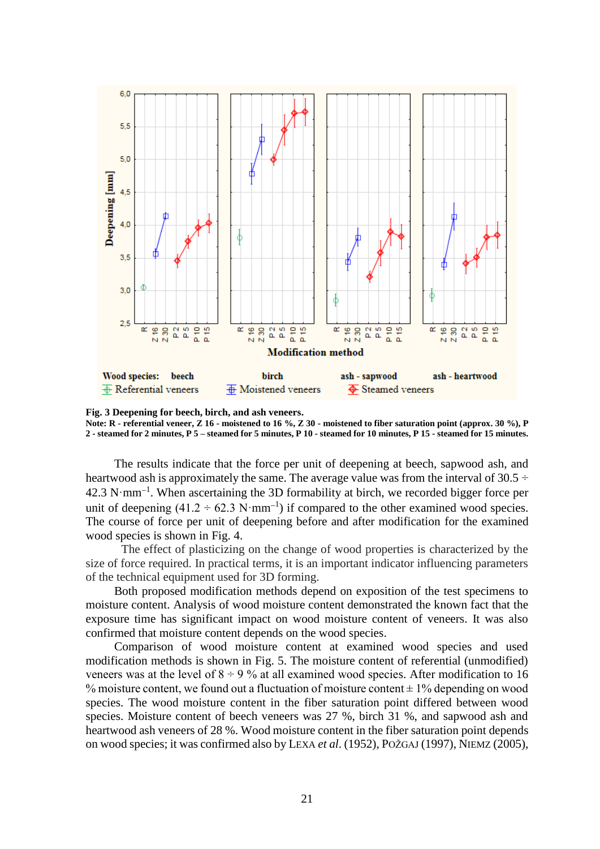

**Fig. 3 Deepening for beech, birch, and ash veneers. Note: R - referential veneer, Z 16 - moistened to 16 %, Z 30 - moistened to fiber saturation point (approx. 30 %), P 2 - steamed for 2 minutes, P 5 – steamed for 5 minutes, P 10 - steamed for 10 minutes, P 15 - steamed for 15 minutes.**

The results indicate that the force per unit of deepening at beech, sapwood ash, and heartwood ash is approximately the same. The average value was from the interval of 30.5  $\div$  $42.3 \text{ N}\cdot\text{mm}^{-1}$ . When ascertaining the 3D formability at birch, we recorded bigger force per unit of deepening  $(41.2 \div 62.3 \text{ N} \cdot \text{mm}^{-1})$  if compared to the other examined wood species. The course of force per unit of deepening before and after modification for the examined wood species is shown in Fig. 4.

The effect of plasticizing on the change of wood properties is characterized by the size of force required. In practical terms, it is an important indicator influencing parameters of the technical equipment used for 3D forming.

Both proposed modification methods depend on exposition of the test specimens to moisture content. Analysis of wood moisture content demonstrated the known fact that the exposure time has significant impact on wood moisture content of veneers. It was also confirmed that moisture content depends on the wood species.

Comparison of wood moisture content at examined wood species and used modification methods is shown in Fig. 5. The moisture content of referential (unmodified) veneers was at the level of  $8 \div 9$ % at all examined wood species. After modification to 16 % moisture content, we found out a fluctuation of moisture content  $\pm$  1% depending on wood species. The wood moisture content in the fiber saturation point differed between wood species. Moisture content of beech veneers was 27 %, birch 31 %, and sapwood ash and heartwood ash veneers of 28 %. Wood moisture content in the fiber saturation point depends on wood species; it was confirmed also by LEXA *et al*. (1952), POŽGAJ (1997), NIEMZ (2005),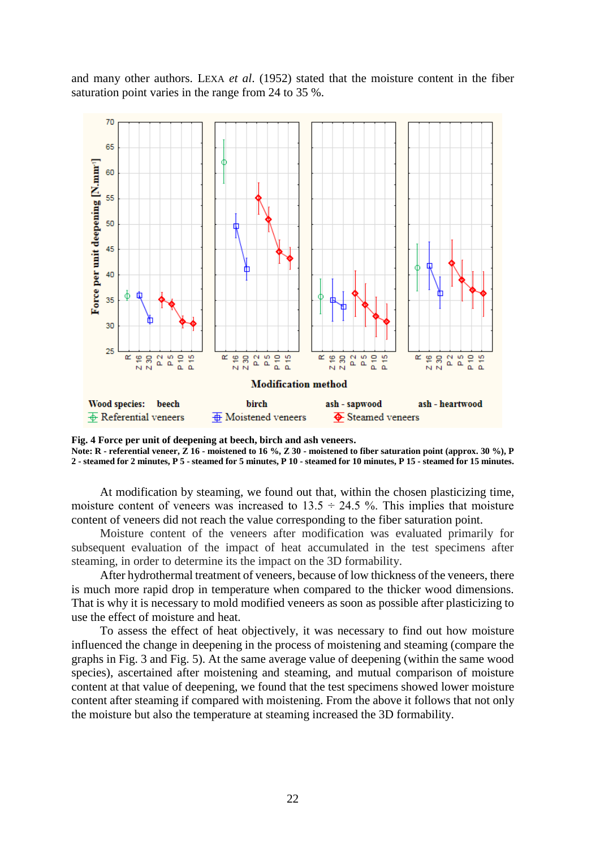and many other authors. LEXA *et al*. (1952) stated that the moisture content in the fiber saturation point varies in the range from 24 to 35 %.



**Fig. 4 Force per unit of deepening at beech, birch and ash veneers. Note: R - referential veneer, Z 16 - moistened to 16 %, Z 30 - moistened to fiber saturation point (approx. 30 %), P 2 - steamed for 2 minutes, P 5 - steamed for 5 minutes, P 10 - steamed for 10 minutes, P 15 - steamed for 15 minutes.**

At modification by steaming, we found out that, within the chosen plasticizing time, moisture content of veneers was increased to  $13.5 \div 24.5$  %. This implies that moisture content of veneers did not reach the value corresponding to the fiber saturation point.

Moisture content of the veneers after modification was evaluated primarily for subsequent evaluation of the impact of heat accumulated in the test specimens after steaming, in order to determine its the impact on the 3D formability.

After hydrothermal treatment of veneers, because of low thickness of the veneers, there is much more rapid drop in temperature when compared to the thicker wood dimensions. That is why it is necessary to mold modified veneers as soon as possible after plasticizing to use the effect of moisture and heat.

To assess the effect of heat objectively, it was necessary to find out how moisture influenced the change in deepening in the process of moistening and steaming (compare the graphs in Fig. 3 and Fig. 5). At the same average value of deepening (within the same wood species), ascertained after moistening and steaming, and mutual comparison of moisture content at that value of deepening, we found that the test specimens showed lower moisture content after steaming if compared with moistening. From the above it follows that not only the moisture but also the temperature at steaming increased the 3D formability.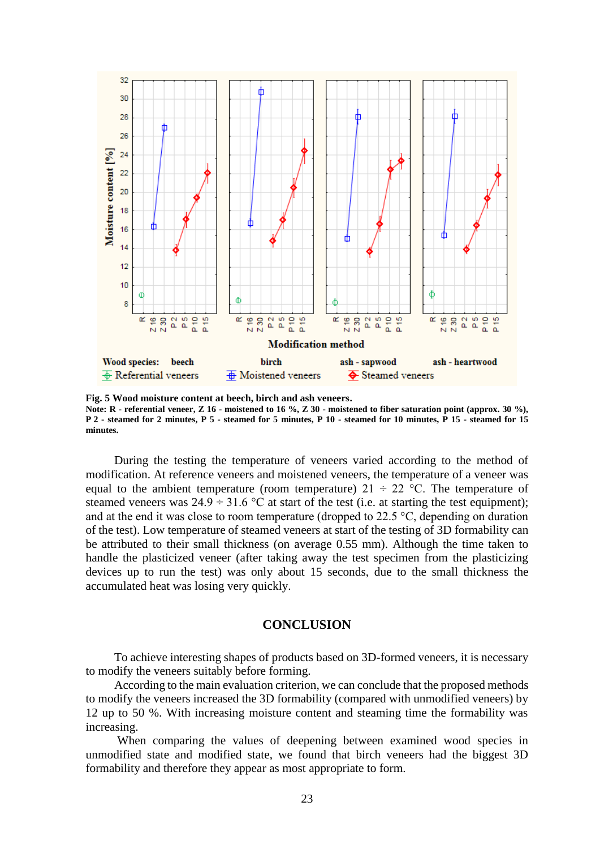

**Fig. 5 Wood moisture content at beech, birch and ash veneers. Note: R - referential veneer, Z 16 - moistened to 16 %, Z 30 - moistened to fiber saturation point (approx. 30 %), P 2 - steamed for 2 minutes, P 5 - steamed for 5 minutes, P 10 - steamed for 10 minutes, P 15 - steamed for 15 minutes.**

During the testing the temperature of veneers varied according to the method of modification. At reference veneers and moistened veneers, the temperature of a veneer was equal to the ambient temperature (room temperature)  $21 \div 22$  °C. The temperature of steamed veneers was  $24.9 \div 31.6$  °C at start of the test (i.e. at starting the test equipment); and at the end it was close to room temperature (dropped to  $22.5 \degree C$ , depending on duration of the test). Low temperature of steamed veneers at start of the testing of 3D formability can be attributed to their small thickness (on average 0.55 mm). Although the time taken to handle the plasticized veneer (after taking away the test specimen from the plasticizing devices up to run the test) was only about 15 seconds, due to the small thickness the accumulated heat was losing very quickly.

### **CONCLUSION**

To achieve interesting shapes of products based on 3D-formed veneers, it is necessary to modify the veneers suitably before forming.

According to the main evaluation criterion, we can conclude that the proposed methods to modify the veneers increased the 3D formability (compared with unmodified veneers) by 12 up to 50 %. With increasing moisture content and steaming time the formability was increasing.

When comparing the values of deepening between examined wood species in unmodified state and modified state, we found that birch veneers had the biggest 3D formability and therefore they appear as most appropriate to form.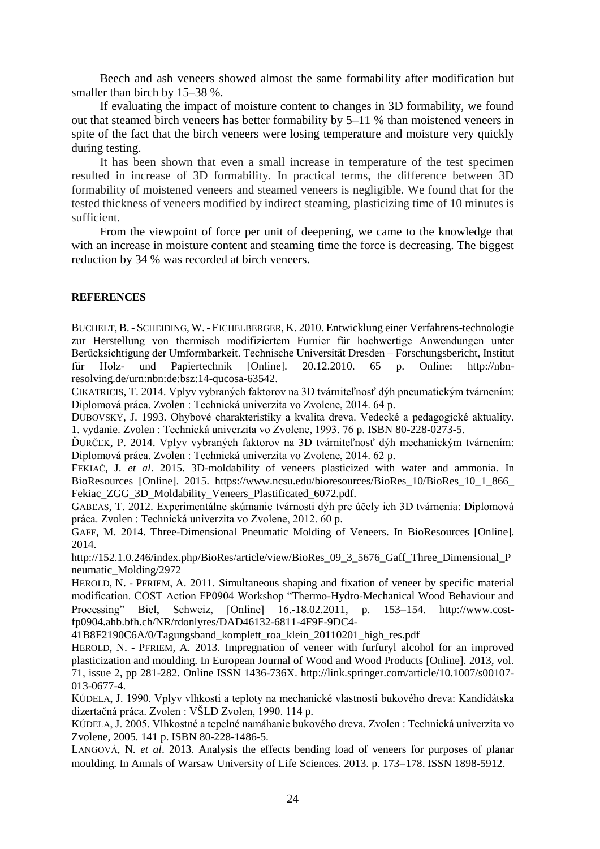Beech and ash veneers showed almost the same formability after modification but smaller than birch by 15–38 %.

If evaluating the impact of moisture content to changes in 3D formability, we found out that steamed birch veneers has better formability by 5–11 % than moistened veneers in spite of the fact that the birch veneers were losing temperature and moisture very quickly during testing.

It has been shown that even a small increase in temperature of the test specimen resulted in increase of 3D formability. In practical terms, the difference between 3D formability of moistened veneers and steamed veneers is negligible. We found that for the tested thickness of veneers modified by indirect steaming, plasticizing time of 10 minutes is sufficient.

From the viewpoint of force per unit of deepening, we came to the knowledge that with an increase in moisture content and steaming time the force is decreasing. The biggest reduction by 34 % was recorded at birch veneers.

#### **REFERENCES**

BUCHELT, B. - SCHEIDING, W. - EICHELBERGER, K. 2010. Entwicklung einer Verfahrens-technologie zur Herstellung von thermisch modifiziertem Furnier für hochwertige Anwendungen unter Berücksichtigung der Umformbarkeit. Technische Universität Dresden – Forschungsbericht, Institut für Holz- und Papiertechnik [Online]. 20.12.2010. 65 p. Online: http://nbnresolving.de/urn:nbn:de:bsz:14-qucosa-63542.

CIKATRICIS, T. 2014. Vplyv vybraných faktorov na 3D tvárniteľnosť dýh pneumatickým tvárnením: Diplomová práca. Zvolen : Technická univerzita vo Zvolene, 2014. 64 p.

DUBOVSKÝ, J. 1993. Ohybové charakteristiky a kvalita dreva. Vedecké a pedagogické aktuality. 1. vydanie. Zvolen : Technická univerzita vo Zvolene, 1993. 76 p. ISBN 80-228-0273-5.

ĎURČEK, P. 2014. Vplyv vybraných faktorov na 3D tvárniteľnosť dýh mechanickým tvárnením: Diplomová práca. Zvolen : Technická univerzita vo Zvolene, 2014. 62 p.

FEKIAČ, J. *et al*. 2015. 3D-moldability of veneers plasticized with water and ammonia. In BioResources [Online]. 2015. https://www.ncsu.edu/bioresources/BioRes\_10/BioRes\_10\_1\_866\_ Fekiac\_ZGG\_3D\_Moldability\_Veneers\_Plastificated\_6072.pdf.

GABĽAS, T. 2012. Experimentálne skúmanie tvárnosti dýh pre účely ich 3D tvárnenia: Diplomová práca. Zvolen : Technická univerzita vo Zvolene, 2012. 60 p.

GAFF, M. 2014. Three-Dimensional Pneumatic Molding of Veneers. In BioResources [Online]. 2014.

http://152.1.0.246/index.php/BioRes/article/view/BioRes 09 3 5676 Gaff Three Dimensional P neumatic\_Molding/2972

HEROLD, N. - PFRIEM, A. 2011. Simultaneous shaping and fixation of veneer by specific material modification. COST Action FP0904 Workshop "Thermo-Hydro-Mechanical Wood Behaviour and Processing" Biel, Schweiz, [Online]  $16.-18.02.2011$ , p.  $153-154$ . http://www.costfp0904.ahb.bfh.ch/NR/rdonlyres/DAD46132-6811-4F9F-9DC4-

41B8F2190C6A/0/Tagungsband\_komplett\_roa\_klein\_20110201\_high\_res.pdf

HEROLD, N. - PFRIEM, A. 2013. Impregnation of veneer with furfuryl alcohol for an improved plasticization and moulding. In European Journal of Wood and Wood Products [Online]. 2013, vol. 71, issue 2, pp 281-282. Online ISSN 1436-736X. http://link.springer.com/article/10.1007/s00107- 013-0677-4.

KÚDELA, J. 1990. Vplyv vlhkosti a teploty na mechanické vlastnosti bukového dreva: Kandidátska dizertačná práca. Zvolen : VŠLD Zvolen, 1990. 114 p.

KÚDELA, J. 2005. Vlhkostné a tepelné namáhanie bukového dreva. Zvolen : Technická univerzita vo Zvolene, 2005. 141 p. ISBN 80-228-1486-5.

LANGOVÁ, N. *et al*. 2013. Analysis the effects bending load of veneers for purposes of planar moulding. In Annals of Warsaw University of Life Sciences. 2013. p. 173–178. ISSN 1898-5912.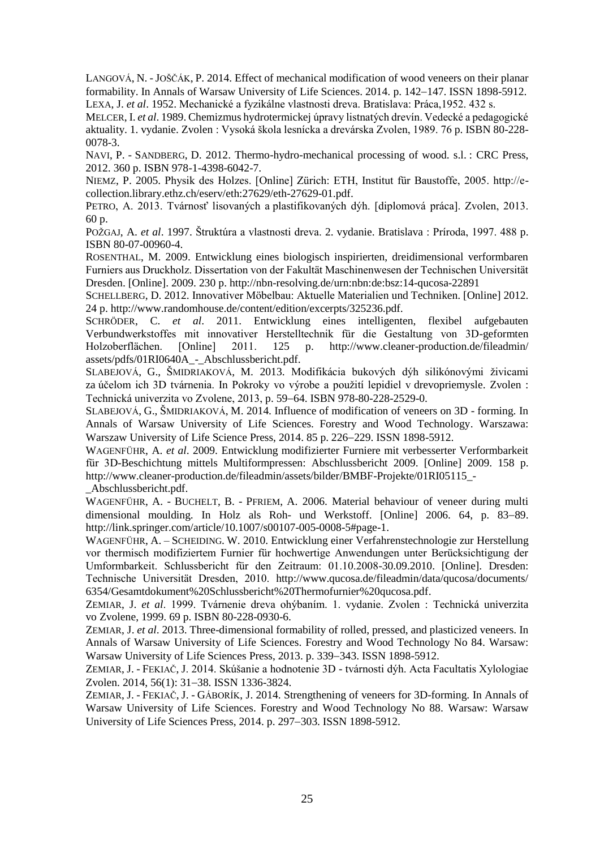LANGOVÁ, N. -JOŠČÁK, P. 2014. Effect of mechanical modification of wood veneers on their planar formability. In Annals of Warsaw University of Life Sciences. 2014. p. 142–147. ISSN 1898-5912. LEXA, J. *et al*. 1952. Mechanické a fyzikálne vlastnosti dreva. Bratislava: Práca,1952. 432 s.

MELCER, I. *et al*. 1989. Chemizmus hydrotermickej úpravy listnatých drevín. Vedecké a pedagogické aktuality. 1. vydanie. Zvolen : Vysoká škola lesnícka a drevárska Zvolen, 1989. 76 p. ISBN 80-228- 0078-3.

NAVI, P. - SANDBERG, D. 2012. Thermo-hydro-mechanical processing of wood. s.l. : CRC Press, 2012. 360 p. ISBN 978-1-4398-6042-7.

NIEMZ, P. 2005. Physik des Holzes. [Online] Zürich: ETH, Institut für Baustoffe, 2005. http://ecollection.library.ethz.ch/eserv/eth:27629/eth-27629-01.pdf.

PETRO, A. 2013. Tvárnosť lisovaných a plastifikovaných dýh. [diplomová práca]. Zvolen, 2013. 60 p.

POŽGAJ, A. *et al*. 1997. Štruktúra a vlastnosti dreva. 2. vydanie. Bratislava : Príroda, 1997. 488 p. ISBN 80-07-00960-4.

ROSENTHAL, M. 2009. Entwicklung eines biologisch inspirierten, dreidimensional verformbaren Furniers aus Druckholz. Dissertation von der Fakultät Maschinenwesen der Technischen Universität Dresden. [Online]. 2009. 230 p. http://nbn-resolving.de/urn:nbn:de:bsz:14-qucosa-22891

SCHELLBERG, D. 2012. Innovativer Möbelbau: Aktuelle Materialien und Techniken. [Online] 2012. 24 p. http://www.randomhouse.de/content/edition/excerpts/325236.pdf.

SCHRÖDER, C. *et al*. 2011. Entwicklung eines intelligenten, flexibel aufgebauten Verbundwerkstoffes mit innovativer Herstelltechnik für die Gestaltung von 3D-geformten Holzoberflächen. [Online] 2011. 125 p. http://www.cleaner-production.de/fileadmin/ assets/pdfs/01RI0640A\_-\_Abschlussbericht.pdf.

SLABEJOVÁ, G., ŠMIDRIAKOVÁ, M. 2013. Modifikácia bukových dýh silikónovými živicami za účelom ich 3D tvárnenia. In Pokroky vo výrobe a použití lepidiel v drevopriemysle. Zvolen : Technická univerzita vo Zvolene, 2013, p. 59–64. ISBN 978-80-228-2529-0.

SLABEJOVÁ, G., ŠMIDRIAKOVÁ, M. 2014. Influence of modification of veneers on 3D - forming. In Annals of Warsaw University of Life Sciences. Forestry and Wood Technology. Warszawa: Warszaw University of Life Science Press, 2014. 85 p. 226–229. ISSN 1898-5912.

WAGENFÜHR, A. *et al*. 2009. Entwicklung modifizierter Furniere mit verbesserter Verformbarkeit für 3D-Beschichtung mittels Multiformpressen: Abschlussbericht 2009. [Online] 2009. 158 p. http://www.cleaner-production.de/fileadmin/assets/bilder/BMBF-Projekte/01RI05115\_- \_Abschlussbericht.pdf.

WAGENFÜHR, A. - BUCHELT, B. - PFRIEM, A. 2006. Material behaviour of veneer during multi dimensional moulding. In Holz als Roh- und Werkstoff. [Online]  $2006$ . 64, p. 83–89. http://link.springer.com/article/10.1007/s00107-005-0008-5#page-1.

WAGENFÜHR, A. – SCHEIDING. W. 2010. Entwicklung einer Verfahrenstechnologie zur Herstellung vor thermisch modifiziertem Furnier für hochwertige Anwendungen unter Berücksichtigung der Umformbarkeit. Schlussbericht für den Zeitraum: 01.10.2008-30.09.2010. [Online]. Dresden: Technische Universität Dresden, 2010. http://www.qucosa.de/fileadmin/data/qucosa/documents/ 6354/Gesamtdokument%20Schlussbericht%20Thermofurnier%20qucosa.pdf.

ZEMIAR, J. *et al*. 1999. Tvárnenie dreva ohýbaním. 1. vydanie. Zvolen : Technická univerzita vo Zvolene, 1999. 69 p. ISBN 80-228-0930-6.

ZEMIAR, J. *et al*. 2013. Three-dimensional formability of rolled, pressed, and plasticized veneers. In Annals of Warsaw University of Life Sciences. Forestry and Wood Technology No 84. Warsaw: Warsaw University of Life Sciences Press, 2013. p. 339-343. ISSN 1898-5912.

ZEMIAR, J. - FEKIAČ, J. 2014. Skúšanie a hodnotenie 3D - tvárnosti dýh. Acta Facultatis Xylologiae Zvolen. 2014, 56(1): 31–38. ISSN 1336-3824.

ZEMIAR, J. - FEKIAČ, J. - GÁBORÍK, J. 2014. Strengthening of veneers for 3D-forming. In Annals of Warsaw University of Life Sciences. Forestry and Wood Technology No 88. Warsaw: Warsaw University of Life Sciences Press,  $2014$ , p.  $297-303$ . ISSN 1898-5912.